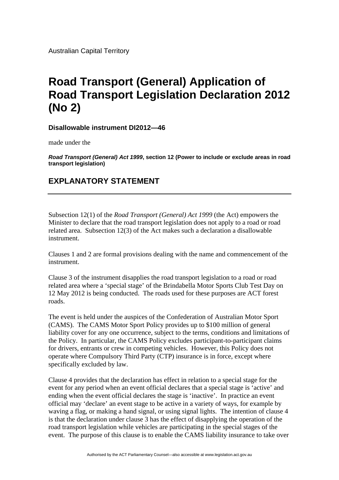Australian Capital Territory

## **Road Transport (General) Application of Road Transport Legislation Declaration 2012 (No 2)**

**Disallowable instrument DI2012—46**

made under the

*Road Transport (General) Act 1999***, section 12 (Power to include or exclude areas in road transport legislation)**

## **EXPLANATORY STATEMENT**

Subsection 12(1) of the *Road Transport (General) Act 1999* (the Act) empowers the Minister to declare that the road transport legislation does not apply to a road or road related area. Subsection 12(3) of the Act makes such a declaration a disallowable instrument.

Clauses 1 and 2 are formal provisions dealing with the name and commencement of the instrument.

Clause 3 of the instrument disapplies the road transport legislation to a road or road related area where a 'special stage' of the Brindabella Motor Sports Club Test Day on 12 May 2012 is being conducted. The roads used for these purposes are ACT forest roads.

The event is held under the auspices of the Confederation of Australian Motor Sport (CAMS). The CAMS Motor Sport Policy provides up to \$100 million of general liability cover for any one occurrence, subject to the terms, conditions and limitations of the Policy. In particular, the CAMS Policy excludes participant-to-participant claims for drivers, entrants or crew in competing vehicles. However, this Policy does not operate where Compulsory Third Party (CTP) insurance is in force, except where specifically excluded by law.

Clause 4 provides that the declaration has effect in relation to a special stage for the event for any period when an event official declares that a special stage is 'active' and ending when the event official declares the stage is 'inactive'. In practice an event official may 'declare' an event stage to be active in a variety of ways, for example by waving a flag, or making a hand signal, or using signal lights. The intention of clause 4 is that the declaration under clause 3 has the effect of disapplying the operation of the road transport legislation while vehicles are participating in the special stages of the event. The purpose of this clause is to enable the CAMS liability insurance to take over